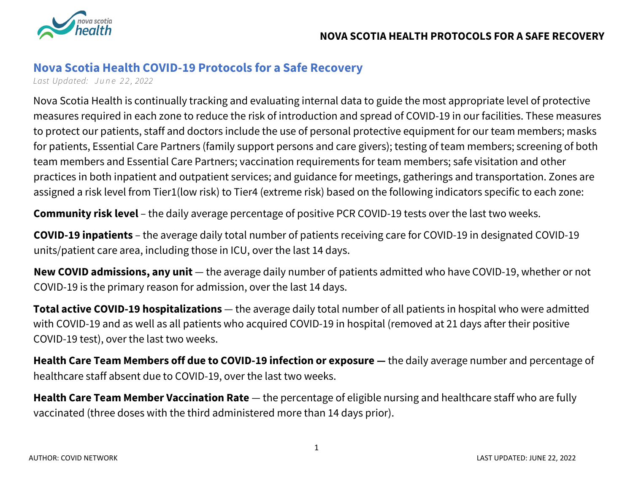

## **Nova Scotia Health COVID-19 Protocols for a Safe Recovery**

*Last Updated: June 2 2 , 2022*

Nova Scotia Health is continually tracking and evaluating internal data to guide the most appropriate level of protective measures required in each zone to reduce the risk of introduction and spread of COVID-19 in our facilities. These measures to protect our patients, staff and doctors include the use of personal protective equipment for our team members; masks for patients, Essential Care Partners (family support persons and care givers); testing of team members; screening of both team members and Essential Care Partners; vaccination requirements for team members; safe visitation and other practices in both inpatient and outpatient services; and guidance for meetings, gatherings and transportation. Zones are assigned a risk level from Tier1(low risk) to Tier4 (extreme risk) based on the following indicators specific to each zone:

**Community risk level** – the daily average percentage of positive PCR COVID-19 tests over the last two weeks.

**COVID-19 inpatients** – the average daily total number of patients receiving care for COVID-19 in designated COVID-19 units/patient care area, including those in ICU, over the last 14 days.

**New COVID admissions, any unit** — the average daily number of patients admitted who have COVID-19, whether or not COVID-19 is the primary reason for admission, over the last 14 days.

**Total active COVID-19 hospitalizations** — the average daily total number of all patients in hospital who were admitted with COVID-19 and as well as all patients who acquired COVID-19 in hospital (removed at 21 days after their positive COVID-19 test), over the last two weeks.

**Health Care Team Members off due to COVID-19 infection or exposure —** the daily average number and percentage of healthcare staff absent due to COVID-19, over the last two weeks.

**Health Care Team Member Vaccination Rate** — the percentage of eligible nursing and healthcare staff who are fully vaccinated (three doses with the third administered more than 14 days prior).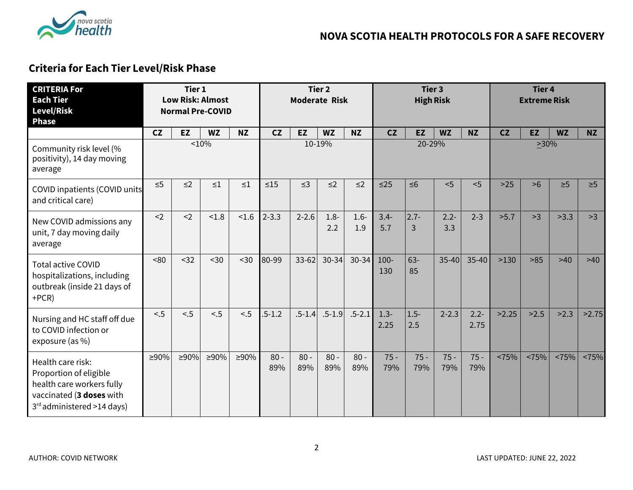

# **Criteria for Each Tier Level/Risk Phase**

| <b>CRITERIA For</b><br><b>Each Tier</b><br><b>Level/Risk</b><br><b>Phase</b>                                                       |             | Tier 1<br><b>Low Risk: Almost</b><br><b>Normal Pre-COVID</b> |           |             |               | <b>Moderate Risk</b> | Tier 2         |                |                 | Tier 3<br><b>High Risk</b> |                |                 |       | <b>Tier 4</b><br><b>Extreme Risk</b> |           |           |
|------------------------------------------------------------------------------------------------------------------------------------|-------------|--------------------------------------------------------------|-----------|-------------|---------------|----------------------|----------------|----------------|-----------------|----------------------------|----------------|-----------------|-------|--------------------------------------|-----------|-----------|
|                                                                                                                                    | CZ          | <b>EZ</b>                                                    | <b>WZ</b> | <b>NZ</b>   | CZ            | <b>EZ</b>            | <b>WZ</b>      | <b>NZ</b>      | CZ              | <b>EZ</b>                  | <b>WZ</b>      | <b>NZ</b>       | CZ    | <b>EZ</b>                            | <b>WZ</b> | <b>NZ</b> |
| Community risk level (%<br>positivity), 14 day moving<br>average                                                                   |             |                                                              | 10%       |             |               |                      | 10-19%         |                |                 | 20-29%                     |                |                 |       | $\geq 30\%$                          |           |           |
| <b>COVID inpatients (COVID units</b><br>and critical care)                                                                         | $\leq 5$    | $\leq$ 2                                                     | $\leq 1$  | ${\leq}1$   | $\leq 15$     | $\leq$ 3             | $\leq$ 2       | $\leq$ 2       | $\leq$ 25       | $\leq 6$                   | < 5            | < 5             | $>25$ | >6                                   | $\geq 5$  | $\geq 5$  |
| New COVID admissions any<br>unit, 7 day moving daily<br>average                                                                    | $2$         | $2$                                                          | < 1.8     | < 1.6       | $2 - 3.3$     | $2 - 2.6$            | $1.8 -$<br>2.2 | $1.6 -$<br>1.9 | $3.4 -$<br>5.7  | $2.7 -$<br>3               | $2.2 -$<br>3.3 | $2 - 3$         | >5.7  | >3                                   | >3.3      | >3        |
| <b>Total active COVID</b><br>hospitalizations, including<br>outbreak (inside 21 days of<br>$+PCR)$                                 | <80         | $32$                                                         | $30$      | $30$        | 80-99         | 33-62                | 30-34          | $30 - 34$      | $100 -$<br>130  | $63 -$<br>85               | $35 - 40$      | $35 - 40$       | >130  | $>85$                                | $>40$     | >40       |
| Nursing and HC staff off due<br>to COVID infection or<br>exposure (as %)                                                           | < 5         | < 5                                                          | < 5       | < 5         | $.5 - 1.2$    | $.5 - 1.4$           | $.5 - 1.9$     | $.5 - 2.1$     | $1.3 -$<br>2.25 | $1.5 -$<br>2.5             | $2 - 2.3$      | $2.2 -$<br>2.75 | >2.25 | >2.5                                 | >2.3      | >2.75     |
| Health care risk:<br>Proportion of eligible<br>health care workers fully<br>vaccinated (3 doses with<br>3rd administered >14 days) | $\geq 90\%$ | $\geq 90\%$                                                  | $>90\%$   | $\geq 90\%$ | $80 -$<br>89% | $80 -$<br>89%        | $80 -$<br>89%  | $80 -$<br>89%  | $75 -$<br>79%   | $75 -$<br>79%              | $75 -$<br>79%  | $75 -$<br>79%   | <75%  | <75%                                 | <75%      | <75%      |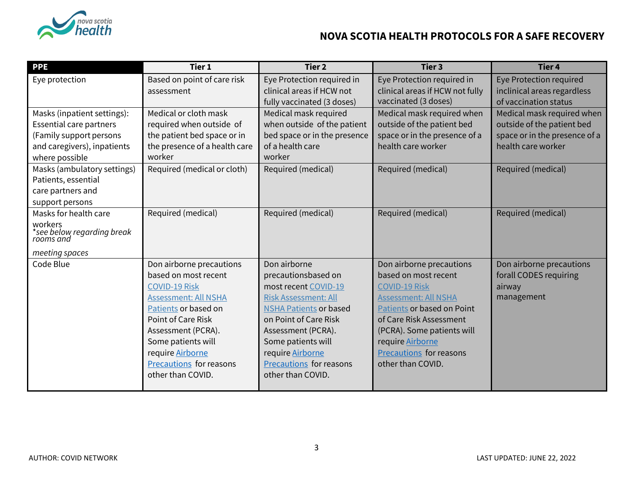

| <b>PPE</b>                                         | Tier 1                         | Tier <sub>2</sub>              | Tier <sub>3</sub>               | <b>Tier 4</b>                  |
|----------------------------------------------------|--------------------------------|--------------------------------|---------------------------------|--------------------------------|
| Eye protection                                     | Based on point of care risk    | Eye Protection required in     | Eye Protection required in      | <b>Eye Protection required</b> |
|                                                    | assessment                     | clinical areas if HCW not      | clinical areas if HCW not fully | inclinical areas regardless    |
|                                                    |                                | fully vaccinated (3 doses)     | vaccinated (3 doses)            | of vaccination status          |
| Masks (inpatient settings):                        | Medical or cloth mask          | Medical mask required          | Medical mask required when      | Medical mask required when     |
| <b>Essential care partners</b>                     | required when outside of       | when outside of the patient    | outside of the patient bed      | outside of the patient bed     |
| (Family support persons                            | the patient bed space or in    | bed space or in the presence   | space or in the presence of a   | space or in the presence of a  |
| and caregivers), inpatients                        | the presence of a health care  | of a health care               | health care worker              | health care worker             |
| where possible                                     | worker                         | worker                         |                                 |                                |
| Masks (ambulatory settings)                        | Required (medical or cloth)    | Required (medical)             | Required (medical)              | Required (medical)             |
| Patients, essential                                |                                |                                |                                 |                                |
| care partners and                                  |                                |                                |                                 |                                |
| support persons                                    |                                |                                |                                 |                                |
| Masks for health care                              | Required (medical)             | Required (medical)             | Required (medical)              | Required (medical)             |
| workers<br>*see below regarding break<br>rooms and |                                |                                |                                 |                                |
| meeting spaces                                     |                                |                                |                                 |                                |
| Code Blue                                          | Don airborne precautions       | Don airborne                   | Don airborne precautions        | Don airborne precautions       |
|                                                    | based on most recent           | precautionsbased on            | based on most recent            | forall CODES requiring         |
|                                                    | <b>COVID-19 Risk</b>           | most recent COVID-19           | <b>COVID-19 Risk</b>            | airway                         |
|                                                    | <b>Assessment: All NSHA</b>    | <b>Risk Assessment: All</b>    | <b>Assessment: All NSHA</b>     | management                     |
|                                                    | Patients or based on           | <b>NSHA Patients or based</b>  | Patients or based on Point      |                                |
|                                                    | Point of Care Risk             | on Point of Care Risk          | of Care Risk Assessment         |                                |
|                                                    | Assessment (PCRA).             | Assessment (PCRA).             | (PCRA). Some patients will      |                                |
|                                                    | Some patients will             | Some patients will             | require Airborne                |                                |
|                                                    | require Airborne               | require Airborne               | Precautions for reasons         |                                |
|                                                    | <b>Precautions</b> for reasons | <b>Precautions for reasons</b> | other than COVID.               |                                |
|                                                    | other than COVID.              | other than COVID.              |                                 |                                |
|                                                    |                                |                                |                                 |                                |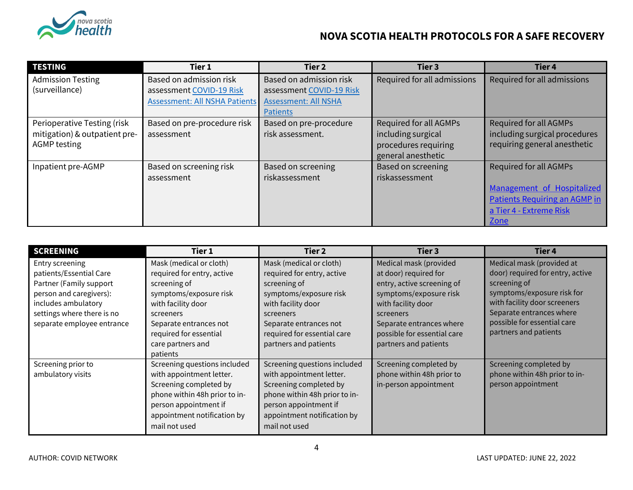

| <b>TESTING</b>                | Tier 1                        | Tier 2                      | Tier 3                      | Tier <sub>4</sub>             |
|-------------------------------|-------------------------------|-----------------------------|-----------------------------|-------------------------------|
| <b>Admission Testing</b>      | Based on admission risk       | Based on admission risk     | Required for all admissions | Required for all admissions   |
| (surveillance)                | assessment COVID-19 Risk      | assessment COVID-19 Risk    |                             |                               |
|                               | Assessment: All NSHA Patients | <b>Assessment: All NSHA</b> |                             |                               |
|                               |                               | <b>Patients</b>             |                             |                               |
| Perioperative Testing (risk   | Based on pre-procedure risk   | Based on pre-procedure      | Required for all AGMPs      | Required for all AGMPs        |
| mitigation) & outpatient pre- | assessment                    | risk assessment.            | including surgical          | including surgical procedures |
| <b>AGMP</b> testing           |                               |                             | procedures requiring        | requiring general anesthetic  |
|                               |                               |                             | general anesthetic          |                               |
| Inpatient pre-AGMP            | Based on screening risk       | Based on screening          | Based on screening          | <b>Required for all AGMPs</b> |
|                               | assessment                    | riskassessment              | riskassessment              |                               |
|                               |                               |                             |                             | Management of Hospitalized    |
|                               |                               |                             |                             | Patients Requiring an AGMP in |
|                               |                               |                             |                             | a Tier 4 - Extreme Risk       |
|                               |                               |                             |                             | <b>Zone</b>                   |

| <b>SCREENING</b>                                                                                                                                                                    | Tier 1                                                                                                                                                                                                                  | Tier 2                                                                                                                                                                                                               | Tier 3                                                                                                                                                                                                                         | Tier <sub>4</sub>                                                                                                                                                                                                               |
|-------------------------------------------------------------------------------------------------------------------------------------------------------------------------------------|-------------------------------------------------------------------------------------------------------------------------------------------------------------------------------------------------------------------------|----------------------------------------------------------------------------------------------------------------------------------------------------------------------------------------------------------------------|--------------------------------------------------------------------------------------------------------------------------------------------------------------------------------------------------------------------------------|---------------------------------------------------------------------------------------------------------------------------------------------------------------------------------------------------------------------------------|
| Entry screening<br>patients/Essential Care<br>Partner (Family support<br>person and caregivers):<br>includes ambulatory<br>settings where there is no<br>separate employee entrance | Mask (medical or cloth)<br>required for entry, active<br>screening of<br>symptoms/exposure risk<br>with facility door<br>screeners<br>Separate entrances not<br>required for essential<br>care partners and<br>patients | Mask (medical or cloth)<br>required for entry, active<br>screening of<br>symptoms/exposure risk<br>with facility door<br>screeners<br>Separate entrances not<br>required for essential care<br>partners and patients | Medical mask (provided<br>at door) required for<br>entry, active screening of<br>symptoms/exposure risk<br>with facility door<br>screeners<br>Separate entrances where<br>possible for essential care<br>partners and patients | Medical mask (provided at<br>door) required for entry, active<br>screening of<br>symptoms/exposure risk for<br>with facility door screeners<br>Separate entrances where<br>possible for essential care<br>partners and patients |
| Screening prior to<br>ambulatory visits                                                                                                                                             | Screening questions included<br>with appointment letter.<br>Screening completed by<br>phone within 48h prior to in-<br>person appointment if<br>appointment notification by<br>mail not used                            | Screening questions included<br>with appointment letter.<br>Screening completed by<br>phone within 48h prior to in-<br>person appointment if<br>appointment notification by<br>mail not used                         | Screening completed by<br>phone within 48h prior to<br>in-person appointment                                                                                                                                                   | Screening completed by<br>phone within 48h prior to in-<br>person appointment                                                                                                                                                   |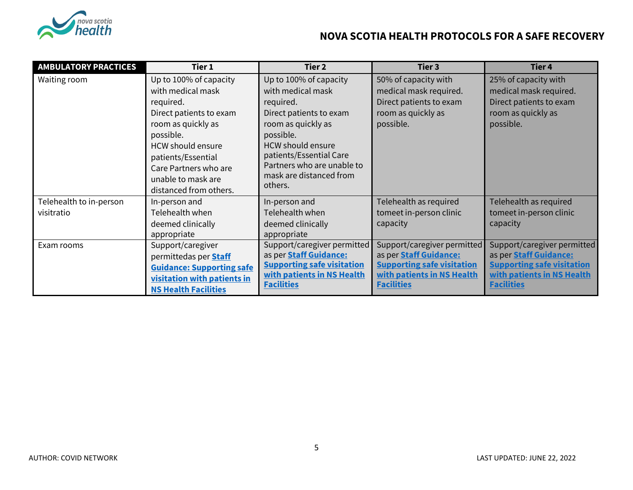

| <b>AMBULATORY PRACTICES</b>           | Tier 1                                                                                                                                                                                                                                            | Tier 2                                                                                                                                                                                                                                            | Tier 3                                                                                                                                               | Tier 4                                                                                                                                               |
|---------------------------------------|---------------------------------------------------------------------------------------------------------------------------------------------------------------------------------------------------------------------------------------------------|---------------------------------------------------------------------------------------------------------------------------------------------------------------------------------------------------------------------------------------------------|------------------------------------------------------------------------------------------------------------------------------------------------------|------------------------------------------------------------------------------------------------------------------------------------------------------|
| Waiting room                          | Up to 100% of capacity<br>with medical mask<br>required.<br>Direct patients to exam<br>room as quickly as<br>possible.<br><b>HCW should ensure</b><br>patients/Essential<br>Care Partners who are<br>unable to mask are<br>distanced from others. | Up to 100% of capacity<br>with medical mask<br>required.<br>Direct patients to exam<br>room as quickly as<br>possible.<br><b>HCW should ensure</b><br>patients/Essential Care<br>Partners who are unable to<br>mask are distanced from<br>others. | 50% of capacity with<br>medical mask required.<br>Direct patients to exam<br>room as quickly as<br>possible.                                         | 25% of capacity with<br>medical mask required.<br>Direct patients to exam<br>room as quickly as<br>possible.                                         |
| Telehealth to in-person<br>visitratio | In-person and<br>Telehealth when<br>deemed clinically<br>appropriate                                                                                                                                                                              | In-person and<br>Telehealth when<br>deemed clinically<br>appropriate                                                                                                                                                                              | Telehealth as required<br>tomeet in-person clinic<br>capacity                                                                                        | Telehealth as required<br>tomeet in-person clinic<br>capacity                                                                                        |
| Exam rooms                            | Support/caregiver<br>permittedas per <b>Staff</b><br><b>Guidance: Supporting safe</b><br>visitation with patients in<br><b>NS Health Facilities</b>                                                                                               | Support/caregiver permitted<br>as per <b>Staff Guidance:</b><br><b>Supporting safe visitation</b><br>with patients in NS Health<br><b>Facilities</b>                                                                                              | Support/caregiver permitted<br>as per <b>Staff Guidance:</b><br><b>Supporting safe visitation</b><br>with patients in NS Health<br><b>Facilities</b> | Support/caregiver permitted<br>as per <b>Staff Guidance:</b><br><b>Supporting safe visitation</b><br>with patients in NS Health<br><b>Facilities</b> |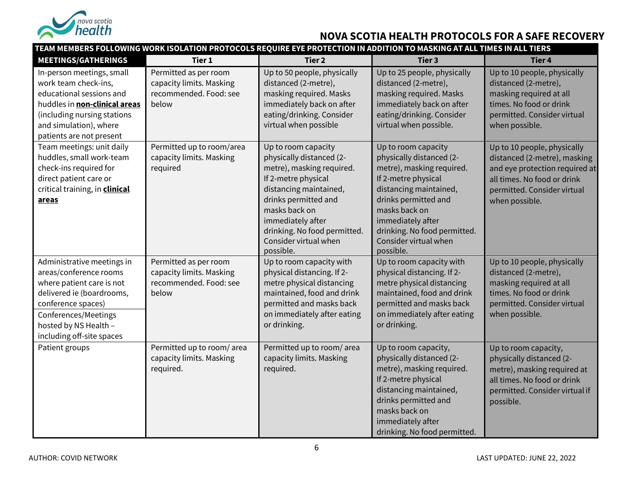

|                                                                                                                                                                                                                    |                                                                                      | TEAM MEMBERS FOLLOWING WORK ISOLATION PROTOCOLS REQUIRE EYE PROTECTION IN ADDITION TO MASKING AT ALL TIMES IN ALL TIERS                                                                                                                                           |                                                                                                                                                                                                                                                                   |                                                                                                                                                                               |
|--------------------------------------------------------------------------------------------------------------------------------------------------------------------------------------------------------------------|--------------------------------------------------------------------------------------|-------------------------------------------------------------------------------------------------------------------------------------------------------------------------------------------------------------------------------------------------------------------|-------------------------------------------------------------------------------------------------------------------------------------------------------------------------------------------------------------------------------------------------------------------|-------------------------------------------------------------------------------------------------------------------------------------------------------------------------------|
| <b>MEETINGS/GATHERINGS</b>                                                                                                                                                                                         | Tier 1                                                                               | <b>Tier 2</b>                                                                                                                                                                                                                                                     | Tier 3                                                                                                                                                                                                                                                            | Tier 4                                                                                                                                                                        |
| In-person meetings, small<br>work team check-ins,<br>educational sessions and<br>huddles in non-clinical areas<br>(including nursing stations<br>and simulation), where<br>patients are not present                | Permitted as per room<br>capacity limits. Masking<br>recommended. Food: see<br>below | Up to 50 people, physically<br>distanced (2-metre),<br>masking required. Masks<br>immediately back on after<br>eating/drinking. Consider<br>virtual when possible                                                                                                 | Up to 25 people, physically<br>distanced (2-metre),<br>masking required. Masks<br>immediately back on after<br>eating/drinking. Consider<br>virtual when possible.                                                                                                | Up to 10 people, physically<br>distanced (2-metre),<br>masking required at all<br>times. No food or drink<br>permitted. Consider virtual<br>when possible.                    |
| Team meetings: unit daily<br>huddles, small work-team<br>check-ins required for<br>direct patient care or<br>critical training, in clinical<br>areas                                                               | Permitted up to room/area<br>capacity limits. Masking<br>required                    | Up to room capacity<br>physically distanced (2-<br>metre), masking required.<br>If 2-metre physical<br>distancing maintained,<br>drinks permitted and<br>masks back on<br>immediately after<br>drinking. No food permitted.<br>Consider virtual when<br>possible. | Up to room capacity<br>physically distanced (2-<br>metre), masking required.<br>If 2-metre physical<br>distancing maintained,<br>drinks permitted and<br>masks back on<br>immediately after<br>drinking. No food permitted.<br>Consider virtual when<br>possible. | Up to 10 people, physically<br>distanced (2-metre), masking<br>and eye protection required at<br>all times. No food or drink<br>permitted. Consider virtual<br>when possible. |
| Administrative meetings in<br>areas/conference rooms<br>where patient care is not<br>delivered ie (boardrooms,<br>conference spaces)<br>Conferences/Meetings<br>hosted by NS Health -<br>including off-site spaces | Permitted as per room<br>capacity limits. Masking<br>recommended. Food: see<br>below | Up to room capacity with<br>physical distancing. If 2-<br>metre physical distancing<br>maintained, food and drink<br>permitted and masks back<br>on immediately after eating<br>or drinking.                                                                      | Up to room capacity with<br>physical distancing. If 2-<br>metre physical distancing<br>maintained, food and drink<br>permitted and masks back<br>on immediately after eating<br>or drinking.                                                                      | Up to 10 people, physically<br>distanced (2-metre),<br>masking required at all<br>times. No food or drink<br>permitted. Consider virtual<br>when possible.                    |
| Patient groups                                                                                                                                                                                                     | Permitted up to room/area<br>capacity limits. Masking<br>required.                   | Permitted up to room/area<br>capacity limits. Masking<br>required.                                                                                                                                                                                                | Up to room capacity,<br>physically distanced (2-<br>metre), masking required.<br>If 2-metre physical<br>distancing maintained,<br>drinks permitted and<br>masks back on<br>immediately after<br>drinking. No food permitted.                                      | Up to room capacity,<br>physically distanced (2-<br>metre), masking required at<br>all times. No food or drink<br>permitted. Consider virtual if<br>possible.                 |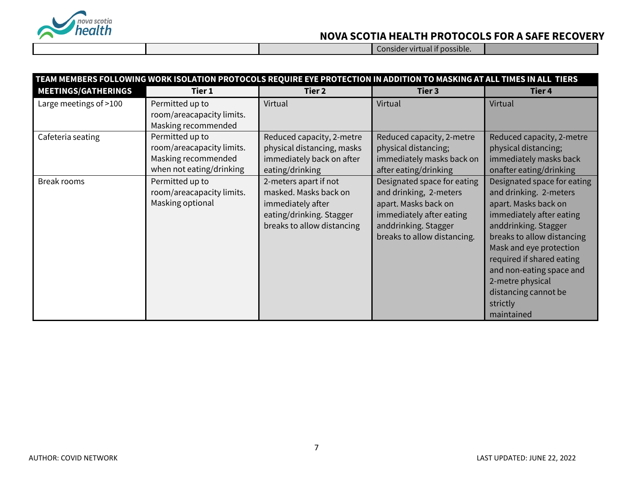

Consider virtual if possible.

|                            |                                                                                                 | TEAM MEMBERS FOLLOWING WORK ISOLATION PROTOCOLS REQUIRE EYE PROTECTION IN ADDITION TO MASKING AT ALL TIMES IN ALL TIERS       |                                                                                                                                                                  |                                                                                                                                                                                                                                                                                                                           |
|----------------------------|-------------------------------------------------------------------------------------------------|-------------------------------------------------------------------------------------------------------------------------------|------------------------------------------------------------------------------------------------------------------------------------------------------------------|---------------------------------------------------------------------------------------------------------------------------------------------------------------------------------------------------------------------------------------------------------------------------------------------------------------------------|
| <b>MEETINGS/GATHERINGS</b> | Tier 1                                                                                          | Tier 2                                                                                                                        | Tier 3                                                                                                                                                           | Tier <sub>4</sub>                                                                                                                                                                                                                                                                                                         |
| Large meetings of >100     | Permitted up to<br>room/areacapacity limits.<br>Masking recommended                             | Virtual                                                                                                                       | Virtual                                                                                                                                                          | Virtual                                                                                                                                                                                                                                                                                                                   |
| Cafeteria seating          | Permitted up to<br>room/areacapacity limits.<br>Masking recommended<br>when not eating/drinking | Reduced capacity, 2-metre<br>physical distancing, masks<br>immediately back on after<br>eating/drinking                       | Reduced capacity, 2-metre<br>physical distancing;<br>immediately masks back on<br>after eating/drinking                                                          | Reduced capacity, 2-metre<br>physical distancing;<br>immediately masks back<br>onafter eating/drinking                                                                                                                                                                                                                    |
| Break rooms                | Permitted up to<br>room/areacapacity limits.<br>Masking optional                                | 2-meters apart if not<br>masked. Masks back on<br>immediately after<br>eating/drinking. Stagger<br>breaks to allow distancing | Designated space for eating<br>and drinking, 2-meters<br>apart. Masks back on<br>immediately after eating<br>anddrinking. Stagger<br>breaks to allow distancing. | Designated space for eating<br>and drinking. 2-meters<br>apart. Masks back on<br>immediately after eating<br>anddrinking. Stagger<br>breaks to allow distancing<br>Mask and eye protection<br>required if shared eating<br>and non-eating space and<br>2-metre physical<br>distancing cannot be<br>strictly<br>maintained |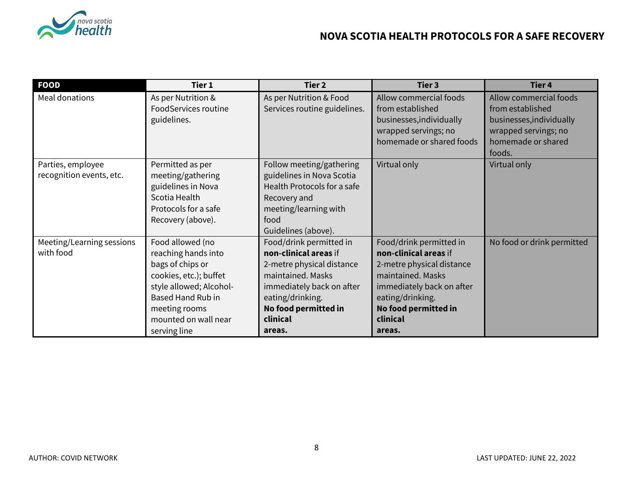

| <b>FOOD</b>                                   | Tier 1                                                                                                                                                                                                | Tier 2                                                                                                                                                                                            | Tier 3                                                                                                                                                                                            | Tier 4                                                                 |
|-----------------------------------------------|-------------------------------------------------------------------------------------------------------------------------------------------------------------------------------------------------------|---------------------------------------------------------------------------------------------------------------------------------------------------------------------------------------------------|---------------------------------------------------------------------------------------------------------------------------------------------------------------------------------------------------|------------------------------------------------------------------------|
| Meal donations                                | As per Nutrition &<br>FoodServices routine<br>guidelines.                                                                                                                                             | As per Nutrition & Food<br>Services routine guidelines.                                                                                                                                           | Allow commercial foods<br>from established<br>businesses, individually                                                                                                                            | Allow commercial foods<br>from established<br>businesses, individually |
|                                               |                                                                                                                                                                                                       |                                                                                                                                                                                                   | wrapped servings; no<br>homemade or shared foods                                                                                                                                                  | wrapped servings; no<br>homemade or shared<br>foods.                   |
| Parties, employee<br>recognition events, etc. | Permitted as per<br>meeting/gathering<br>guidelines in Nova<br>Scotia Health<br>Protocols for a safe<br>Recovery (above).                                                                             | Follow meeting/gathering<br>guidelines in Nova Scotia<br>Health Protocols for a safe<br>Recovery and<br>meeting/learning with<br>food<br>Guidelines (above).                                      | Virtual only                                                                                                                                                                                      | Virtual only                                                           |
| Meeting/Learning sessions<br>with food        | Food allowed (no<br>reaching hands into<br>bags of chips or<br>cookies, etc.); buffet<br>style allowed; Alcohol-<br><b>Based Hand Rub in</b><br>meeting rooms<br>mounted on wall near<br>serving line | Food/drink permitted in<br>non-clinical areas if<br>2-metre physical distance<br>maintained. Masks<br>immediately back on after<br>eating/drinking.<br>No food permitted in<br>clinical<br>areas. | Food/drink permitted in<br>non-clinical areas if<br>2-metre physical distance<br>maintained. Masks<br>immediately back on after<br>eating/drinking.<br>No food permitted in<br>clinical<br>areas. | No food or drink permitted                                             |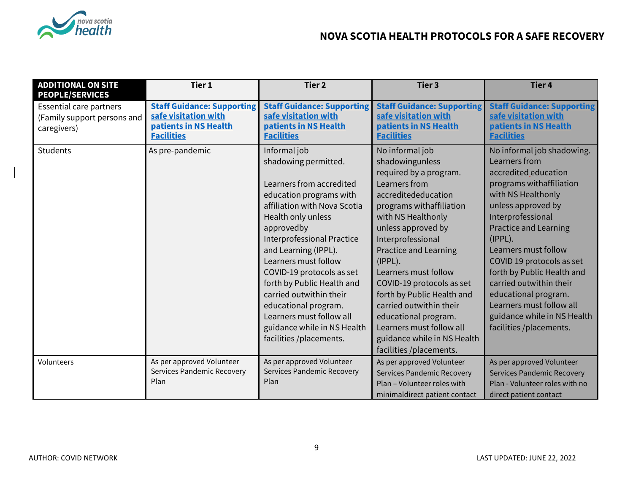

| <b>ADDITIONAL ON SITE</b><br><b>PEOPLE/SERVICES</b>                          | Tier 1                                                                                                  | Tier <sub>2</sub>                                                                                                                                                                                                                                                                                                                                                                                                                                        | Tier <sub>3</sub>                                                                                                                                                                                                                                                                                                                                                                                                                                                           | <b>Tier 4</b>                                                                                                                                                                                                                                                                                                                                                                                                                           |
|------------------------------------------------------------------------------|---------------------------------------------------------------------------------------------------------|----------------------------------------------------------------------------------------------------------------------------------------------------------------------------------------------------------------------------------------------------------------------------------------------------------------------------------------------------------------------------------------------------------------------------------------------------------|-----------------------------------------------------------------------------------------------------------------------------------------------------------------------------------------------------------------------------------------------------------------------------------------------------------------------------------------------------------------------------------------------------------------------------------------------------------------------------|-----------------------------------------------------------------------------------------------------------------------------------------------------------------------------------------------------------------------------------------------------------------------------------------------------------------------------------------------------------------------------------------------------------------------------------------|
| <b>Essential care partners</b><br>(Family support persons and<br>caregivers) | <b>Staff Guidance: Supporting</b><br>safe visitation with<br>patients in NS Health<br><b>Facilities</b> | <b>Staff Guidance: Supporting</b><br>safe visitation with<br>patients in NS Health<br><b>Facilities</b>                                                                                                                                                                                                                                                                                                                                                  | <b>Staff Guidance: Supporting</b><br>safe visitation with<br>patients in NS Health<br><b>Facilities</b>                                                                                                                                                                                                                                                                                                                                                                     | <b>Staff Guidance: Supporting</b><br>safe visitation with<br>patients in NS Health<br><b>Facilities</b>                                                                                                                                                                                                                                                                                                                                 |
| Students                                                                     | As pre-pandemic                                                                                         | Informal job<br>shadowing permitted.<br>Learners from accredited<br>education programs with<br>affiliation with Nova Scotia<br>Health only unless<br>approvedby<br><b>Interprofessional Practice</b><br>and Learning (IPPL).<br>Learners must follow<br>COVID-19 protocols as set<br>forth by Public Health and<br>carried outwithin their<br>educational program.<br>Learners must follow all<br>guidance while in NS Health<br>facilities /placements. | No informal job<br>shadowingunless<br>required by a program.<br>Learners from<br>accreditededucation<br>programs withaffiliation<br>with NS Healthonly<br>unless approved by<br>Interprofessional<br><b>Practice and Learning</b><br>$(IPPL)$ .<br>Learners must follow<br>COVID-19 protocols as set<br>forth by Public Health and<br>carried outwithin their<br>educational program.<br>Learners must follow all<br>guidance while in NS Health<br>facilities /placements. | No informal job shadowing.<br>Learners from<br>accredited education<br>programs withaffiliation<br>with NS Healthonly<br>unless approved by<br>Interprofessional<br><b>Practice and Learning</b><br>(IPPL).<br>Learners must follow<br>COVID 19 protocols as set<br>forth by Public Health and<br>carried outwithin their<br>educational program.<br>Learners must follow all<br>guidance while in NS Health<br>facilities /placements. |
| Volunteers                                                                   | As per approved Volunteer<br><b>Services Pandemic Recovery</b><br>Plan                                  | As per approved Volunteer<br>Services Pandemic Recovery<br>Plan                                                                                                                                                                                                                                                                                                                                                                                          | As per approved Volunteer<br><b>Services Pandemic Recovery</b><br>Plan - Volunteer roles with<br>minimaldirect patient contact                                                                                                                                                                                                                                                                                                                                              | As per approved Volunteer<br><b>Services Pandemic Recovery</b><br>Plan - Volunteer roles with no<br>direct patient contact                                                                                                                                                                                                                                                                                                              |